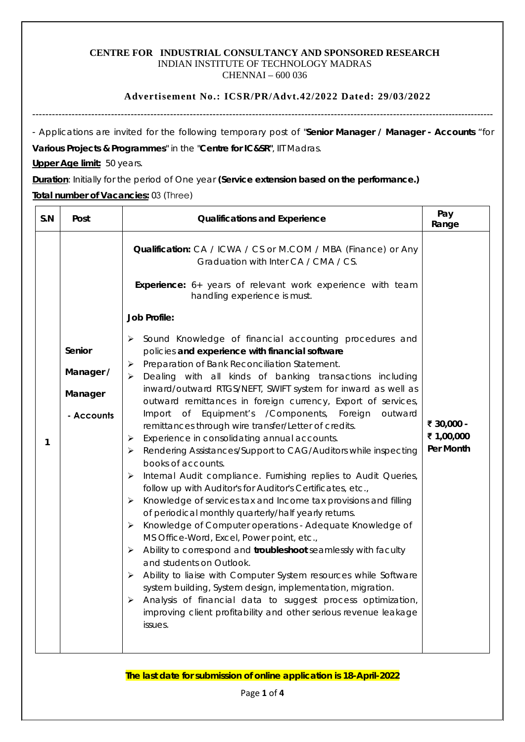#### **CENTRE FOR INDUSTRIAL CONSULTANCY AND SPONSORED RESEARCH** INDIAN INSTITUTE OF TECHNOLOGY MADRAS CHENNAI – 600 036

## **Advertisement No.: ICSR/PR/Advt.42/2022 Dated: 29/03/2022**

---------------------------------------------------------------------------------------------------------------------------------------------

- Applications are invited for the following temporary post of "**Senior Manager / Manager - Accounts** "for

**Various Projects & Programmes**" in the "**Centre for IC&SR"**, IIT Madras.

**Upper Age limit:** 50 years.

**Duration**: Initially for the period of One year **(Service extension based on the performance.)**

## **Total number of Vacancies:** 03 (Three)

| S.N | Post                                         | <b>Qualifications and Experience</b>                                                                                                                                                                                                                                                                                                                                                                                                                                                                                                                                                                                                                                                                                                                                                                                                                                                                                                                                                                                                                                                                                                                                                                                                                                                                                                                                                                                                                                                                 | Pay<br>Range                          |
|-----|----------------------------------------------|------------------------------------------------------------------------------------------------------------------------------------------------------------------------------------------------------------------------------------------------------------------------------------------------------------------------------------------------------------------------------------------------------------------------------------------------------------------------------------------------------------------------------------------------------------------------------------------------------------------------------------------------------------------------------------------------------------------------------------------------------------------------------------------------------------------------------------------------------------------------------------------------------------------------------------------------------------------------------------------------------------------------------------------------------------------------------------------------------------------------------------------------------------------------------------------------------------------------------------------------------------------------------------------------------------------------------------------------------------------------------------------------------------------------------------------------------------------------------------------------------|---------------------------------------|
|     |                                              | Qualification: CA / ICWA / CS or M.COM / MBA (Finance) or Any<br>Graduation with Inter CA / CMA / CS.<br>Experience: 6+ years of relevant work experience with team<br>handling experience is must.                                                                                                                                                                                                                                                                                                                                                                                                                                                                                                                                                                                                                                                                                                                                                                                                                                                                                                                                                                                                                                                                                                                                                                                                                                                                                                  |                                       |
| 1   | Senior<br>Manager /<br>Manager<br>- Accounts | <b>Job Profile:</b><br>Sound Knowledge of financial accounting procedures and<br>➤<br>policies and experience with financial software<br>Preparation of Bank Reconciliation Statement.<br>≻<br>Dealing with all kinds of banking transactions including<br>≻<br>inward/outward RTGS/NEFT, SWIFT system for inward as well as<br>outward remittances in foreign currency, Export of services,<br>Equipment's /Components, Foreign<br>Import<br>$\circ$ f<br>outward<br>remittances through wire transfer/Letter of credits.<br>Experience in consolidating annual accounts.<br>$\blacktriangleright$<br>Rendering Assistances/Support to CAG/Auditors while inspecting<br>➤<br>books of accounts.<br>Internal Audit compliance. Furnishing replies to Audit Queries,<br>$\blacktriangleright$<br>follow up with Auditor's for Auditor's Certificates, etc.,<br>Knowledge of services tax and Income tax provisions and filling<br>➤<br>of periodical monthly quarterly/half yearly returns.<br>Knowledge of Computer operations - Adequate Knowledge of<br>➤<br>MS Office-Word, Excel, Power point, etc.,<br>Ability to correspond and troubleshoot seamlessly with faculty<br>➤<br>and students on Outlook.<br>Ability to liaise with Computer System resources while Software<br>≻<br>system building, System design, implementation, migration.<br>Analysis of financial data to suggest process optimization,<br>➤<br>improving client profitability and other serious revenue leakage<br>issues. | ₹ 30,000 -<br>₹ 1,00,000<br>Per Month |

**The last date for submission of online application is 18-April-2022**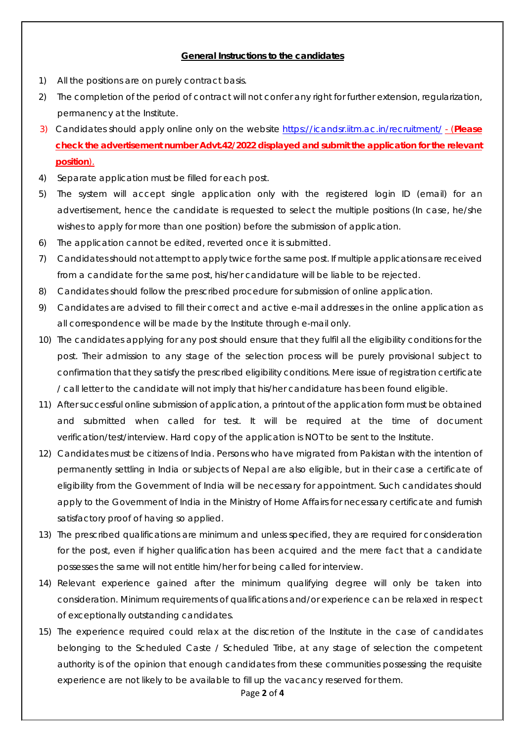# **General Instructions to the candidates**

- 1) All the positions are on purely contract basis.
- 2) The completion of the period of contract will not confer any right for further extension, regularization, permanency at the Institute.
- 3) Candidates should apply online only on the website<https://icandsr.iitm.ac.in/recruitment/> (**Please check the advertisement number Advt.42/2022 displayed and submit the application for the relevant position**).
- 4) Separate application must be filled for each post.
- 5) The system will accept single application only with the registered login ID (email) for an advertisement, hence the candidate is requested to select the multiple positions (In case, he/she wishes to apply for more than one position) before the submission of application.
- 6) The application cannot be edited, reverted once it is submitted.
- 7) Candidates should not attempt to apply twice for the same post. If multiple applications are received from a candidate for the same post, his/her candidature will be liable to be rejected.
- 8) Candidates should follow the prescribed procedure for submission of online application.
- 9) Candidates are advised to fill their correct and active e-mail addresses in the online application as all correspondence will be made by the Institute through e-mail only.
- 10) The candidates applying for any post should ensure that they fulfil all the eligibility conditions for the post. Their admission to any stage of the selection process will be purely provisional subject to confirmation that they satisfy the prescribed eligibility conditions. Mere issue of registration certificate / call letter to the candidate will not imply that his/her candidature has been found eligible.
- 11) After successful online submission of application, a printout of the application form must be obtained and submitted when called for test. It will be required at the time of document verification/test/interview. Hard copy of the application is NOT to be sent to the Institute.
- 12) Candidates must be citizens of India. Persons who have migrated from Pakistan with the intention of permanently settling in India or subjects of Nepal are also eligible, but in their case a certificate of eligibility from the Government of India will be necessary for appointment. Such candidates should apply to the Government of India in the Ministry of Home Affairs for necessary certificate and furnish satisfactory proof of having so applied.
- 13) The prescribed qualifications are minimum and unless specified, they are required for consideration for the post, even if higher qualification has been acquired and the mere fact that a candidate possesses the same will not entitle him/her for being called for interview.
- 14) Relevant experience gained after the minimum qualifying degree will only be taken into consideration. Minimum requirements of qualifications and/or experience can be relaxed in respect of exceptionally outstanding candidates.
- 15) The experience required could relax at the discretion of the Institute in the case of candidates belonging to the Scheduled Caste / Scheduled Tribe, at any stage of selection the competent authority is of the opinion that enough candidates from these communities possessing the requisite experience are not likely to be available to fill up the vacancy reserved for them.

### Page **2** of **4**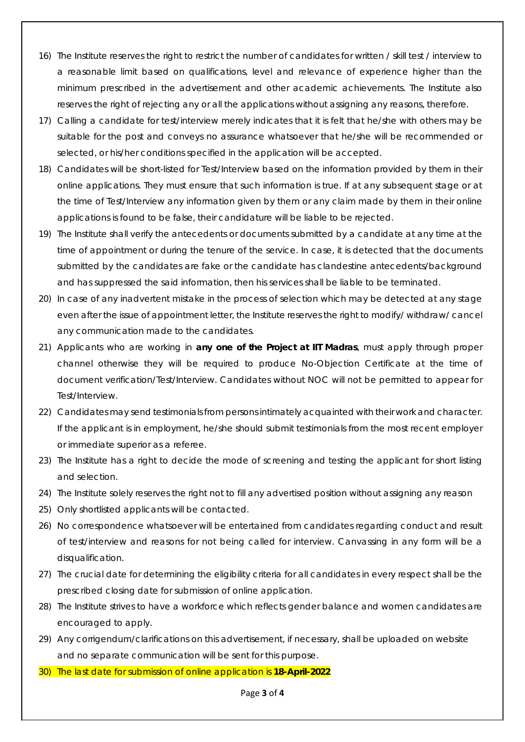- 16) The Institute reserves the right to restrict the number of candidates for written / skill test / interview to a reasonable limit based on qualifications, level and relevance of experience higher than the minimum prescribed in the advertisement and other academic achievements. The Institute also reserves the right of rejecting any or all the applications without assigning any reasons, therefore.
- 17) Calling a candidate for test/interview merely indicates that it is felt that he/she with others may be suitable for the post and conveys no assurance whatsoever that he/she will be recommended or selected, or his/her conditions specified in the application will be accepted.
- 18) Candidates will be short-listed for Test/Interview based on the information provided by them in their online applications. They must ensure that such information is true. If at any subsequent stage or at the time of Test/Interview any information given by them or any claim made by them in their online applications is found to be false, their candidature will be liable to be rejected.
- 19) The Institute shall verify the antecedents or documents submitted by a candidate at any time at the time of appointment or during the tenure of the service. In case, it is detected that the documents submitted by the candidates are fake or the candidate has clandestine antecedents/background and has suppressed the said information, then his services shall be liable to be terminated.
- 20) In case of any inadvertent mistake in the process of selection which may be detected at any stage even after the issue of appointment letter, the Institute reserves the right to modify/ withdraw/ cancel any communication made to the candidates.
- 21) Applicants who are working in **any one of the Project at IIT Madras**, must apply through proper channel otherwise they will be required to produce No-Objection Certificate at the time of document verification/Test/Interview. Candidates without NOC will not be permitted to appear for Test/Interview.
- 22) Candidates may send testimonials from persons intimately acquainted with their work and character. If the applicant is in employment, he/she should submit testimonials from the most recent employer or immediate superior as a referee.
- 23) The Institute has a right to decide the mode of screening and testing the applicant for short listing and selection.
- 24) The Institute solely reserves the right not to fill any advertised position without assigning any reason
- 25) Only shortlisted applicants will be contacted.
- 26) No correspondence whatsoever will be entertained from candidates regarding conduct and result of test/interview and reasons for not being called for interview. Canvassing in any form will be a disqualification.
- 27) The crucial date for determining the eligibility criteria for all candidates in every respect shall be the prescribed closing date for submission of online application.
- 28) The Institute strives to have a workforce which reflects gender balance and women candidates are encouraged to apply.
- 29) Any corrigendum/clarifications on this advertisement, if necessary, shall be uploaded on website and no separate communication will be sent for this purpose.
- 30) The last date for submission of online application is **18-April-2022**